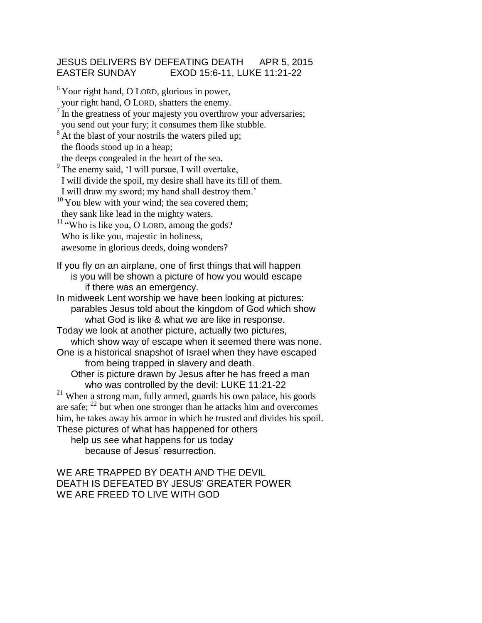## JESUS DELIVERS BY DEFEATING DEATH APR 5, 2015 EASTER SUNDAY EXOD 15:6-11, LUKE 11:21-22

 $6$ Your right hand, O LORD, glorious in power, your right hand, O LORD, shatters the enemy.  $\frac{7}{1}$  In the greatness of your majesty you overthrow your adversaries; you send out your fury; it consumes them like stubble.  $8$ At the blast of your nostrils the waters piled up; the floods stood up in a heap; the deeps congealed in the heart of the sea. <sup>9</sup>The enemy said, 'I will pursue, I will overtake, I will divide the spoil, my desire shall have its fill of them. I will draw my sword; my hand shall destroy them.'  $10$  You blew with your wind; the sea covered them; they sank like lead in the mighty waters. <sup>11</sup> "Who is like you, O LORD, among the gods? Who is like you, majestic in holiness, awesome in glorious deeds, doing wonders? If you fly on an airplane, one of first things that will happen is you will be shown a picture of how you would escape if there was an emergency. In midweek Lent worship we have been looking at pictures: parables Jesus told about the kingdom of God which show what God is like & what we are like in response. Today we look at another picture, actually two pictures, which show way of escape when it seemed there was none. One is a historical snapshot of Israel when they have escaped from being trapped in slavery and death. Other is picture drawn by Jesus after he has freed a man who was controlled by the devil: LUKE 11:21-22 <sup>21</sup> When a strong man, fully armed, guards his own palace, his goods are safe; <sup>22</sup> but when one stronger than he attacks him and overcomes him, he takes away his armor in which he trusted and divides his spoil. These pictures of what has happened for others

help us see what happens for us today because of Jesus' resurrection.

## WE ARE TRAPPED BY DEATH AND THE DEVIL DEATH IS DEFEATED BY JESUS' GREATER POWER WE ARE FREED TO LIVE WITH GOD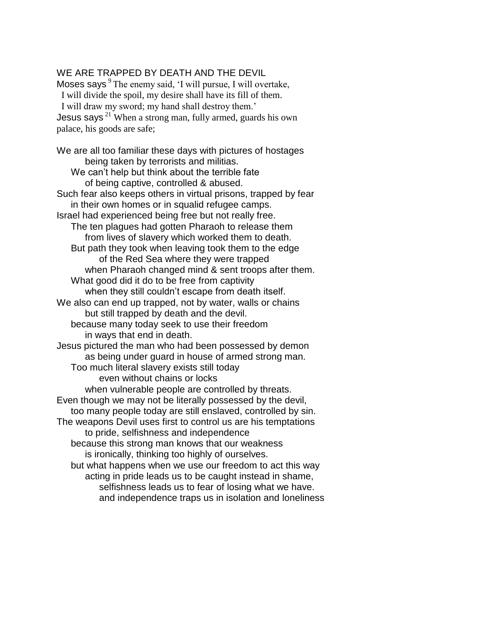## WE ARE TRAPPED BY DEATH AND THE DEVIL

Moses says  $9$  The enemy said, 'I will pursue, I will overtake, I will divide the spoil, my desire shall have its fill of them. I will draw my sword; my hand shall destroy them.' Jesus says<sup> $21$ </sup> When a strong man, fully armed, guards his own palace, his goods are safe;

We are all too familiar these days with pictures of hostages being taken by terrorists and militias. We can't help but think about the terrible fate of being captive, controlled & abused. Such fear also keeps others in virtual prisons, trapped by fear in their own homes or in squalid refugee camps. Israel had experienced being free but not really free. The ten plagues had gotten Pharaoh to release them from lives of slavery which worked them to death. But path they took when leaving took them to the edge of the Red Sea where they were trapped when Pharaoh changed mind & sent troops after them. What good did it do to be free from captivity when they still couldn't escape from death itself. We also can end up trapped, not by water, walls or chains but still trapped by death and the devil. because many today seek to use their freedom in ways that end in death. Jesus pictured the man who had been possessed by demon as being under guard in house of armed strong man. Too much literal slavery exists still today even without chains or locks when vulnerable people are controlled by threats. Even though we may not be literally possessed by the devil, too many people today are still enslaved, controlled by sin. The weapons Devil uses first to control us are his temptations to pride, selfishness and independence because this strong man knows that our weakness is ironically, thinking too highly of ourselves. but what happens when we use our freedom to act this way acting in pride leads us to be caught instead in shame, selfishness leads us to fear of losing what we have. and independence traps us in isolation and loneliness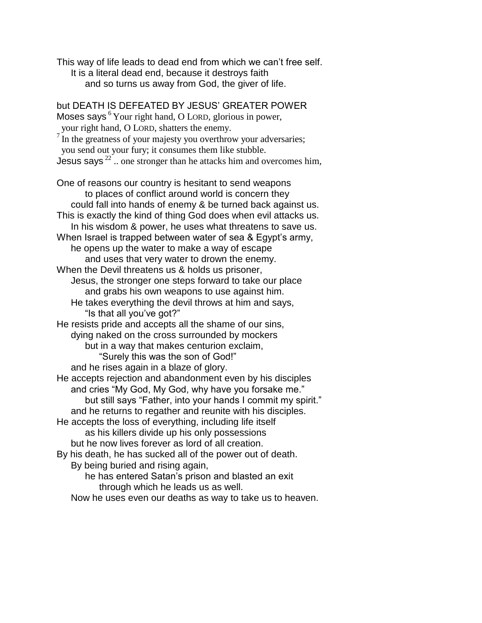This way of life leads to dead end from which we can't free self. It is a literal dead end, because it destroys faith and so turns us away from God, the giver of life.

but DEATH IS DEFEATED BY JESUS' GREATER POWER Moses says  $6$  Your right hand, O LORD, glorious in power, your right hand, O LORD, shatters the enemy.  $\nabla^7$  In the greatness of your majesty you overthrow your adversaries; you send out your fury; it consumes them like stubble. Jesus says<sup>22</sup>.. one stronger than he attacks him and overcomes him, One of reasons our country is hesitant to send weapons to places of conflict around world is concern they could fall into hands of enemy & be turned back against us. This is exactly the kind of thing God does when evil attacks us. In his wisdom & power, he uses what threatens to save us. When Israel is trapped between water of sea & Egypt's army, he opens up the water to make a way of escape and uses that very water to drown the enemy. When the Devil threatens us & holds us prisoner, Jesus, the stronger one steps forward to take our place and grabs his own weapons to use against him. He takes everything the devil throws at him and says, "Is that all you've got?" He resists pride and accepts all the shame of our sins, dying naked on the cross surrounded by mockers but in a way that makes centurion exclaim, "Surely this was the son of God!" and he rises again in a blaze of glory. He accepts rejection and abandonment even by his disciples and cries "My God, My God, why have you forsake me." but still says "Father, into your hands I commit my spirit." and he returns to regather and reunite with his disciples. He accepts the loss of everything, including life itself as his killers divide up his only possessions but he now lives forever as lord of all creation. By his death, he has sucked all of the power out of death. By being buried and rising again, he has entered Satan's prison and blasted an exit through which he leads us as well.

Now he uses even our deaths as way to take us to heaven.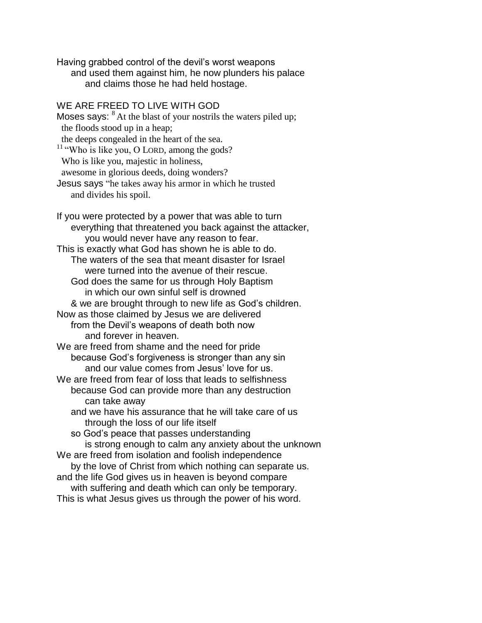Having grabbed control of the devil's worst weapons and used them against him, he now plunders his palace and claims those he had held hostage.

## WE ARE FREED TO LIVE WITH GOD

Moses says:  $8$  At the blast of your nostrils the waters piled up; the floods stood up in a heap; the deeps congealed in the heart of the sea.  $11$  "Who is like you, O LORD, among the gods? Who is like you, majestic in holiness, awesome in glorious deeds, doing wonders? Jesus says "he takes away his armor in which he trusted and divides his spoil. If you were protected by a power that was able to turn

everything that threatened you back against the attacker, you would never have any reason to fear. This is exactly what God has shown he is able to do. The waters of the sea that meant disaster for Israel were turned into the avenue of their rescue. God does the same for us through Holy Baptism in which our own sinful self is drowned & we are brought through to new life as God's children. Now as those claimed by Jesus we are delivered from the Devil's weapons of death both now and forever in heaven. We are freed from shame and the need for pride because God's forgiveness is stronger than any sin and our value comes from Jesus' love for us. We are freed from fear of loss that leads to selfishness because God can provide more than any destruction can take away and we have his assurance that he will take care of us through the loss of our life itself so God's peace that passes understanding is strong enough to calm any anxiety about the unknown We are freed from isolation and foolish independence by the love of Christ from which nothing can separate us. and the life God gives us in heaven is beyond compare

with suffering and death which can only be temporary. This is what Jesus gives us through the power of his word.